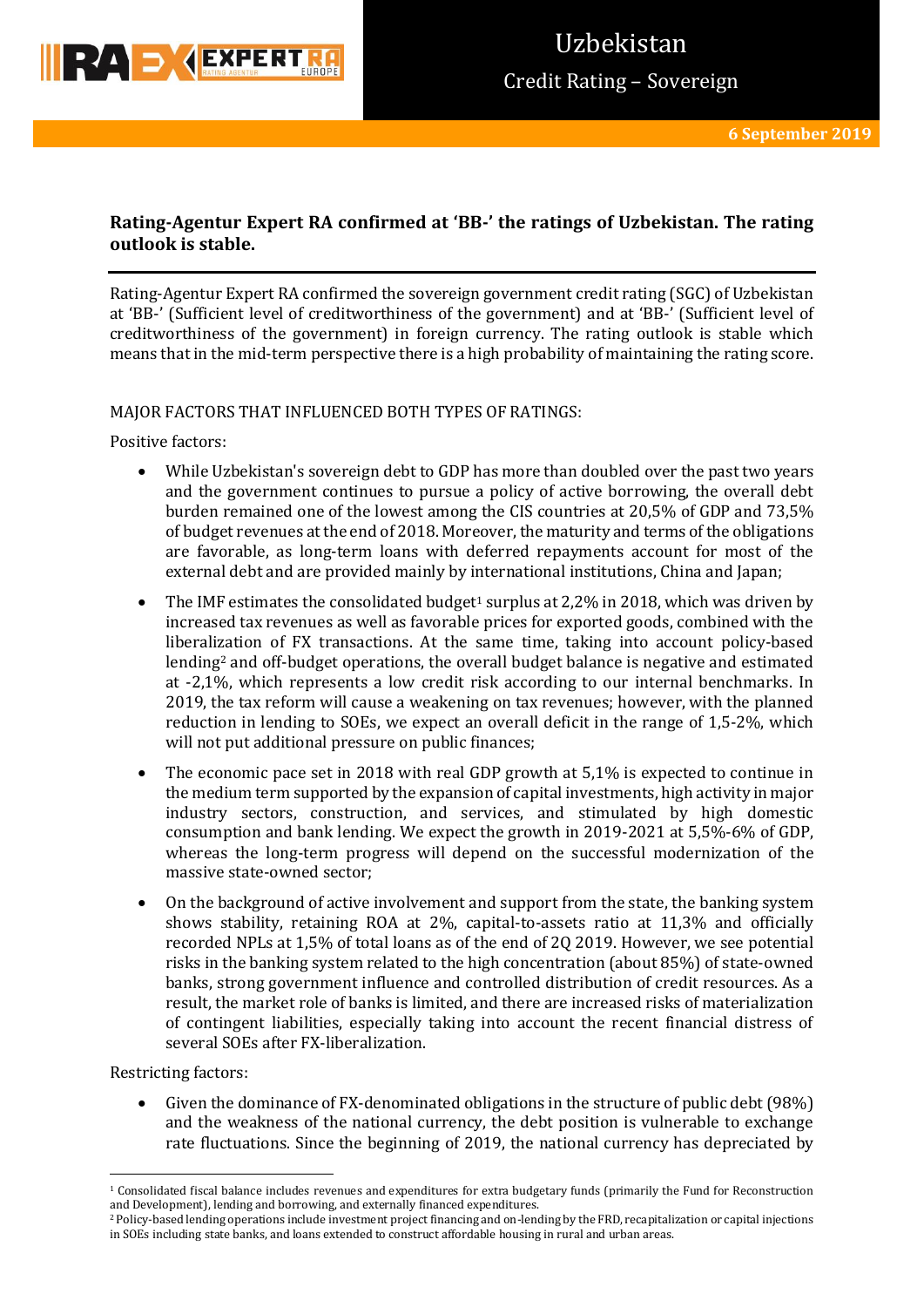

## **Rating-Agentur Expert RA confirmed at 'BB-' the ratings of Uzbekistan. The rating outlook is stable.**

Rating-Agentur Expert RA confirmed the sovereign government credit rating (SGC) of Uzbekistan at 'BB-' (Sufficient level of creditworthiness of the government) and at 'BB-' (Sufficient level of creditworthiness of the government) in foreign currency. The rating outlook is stable which means that in the mid-term perspective there is a high probability of maintaining the rating score.

### MAJOR FACTORS THAT INFLUENCED BOTH TYPES OF RATINGS:

Positive factors:

- While Uzbekistan's sovereign debt to GDP has more than doubled over the past two years and the government continues to pursue a policy of active borrowing, the overall debt burden remained one of the lowest among the CIS countries at 20,5% of GDP and 73,5% of budget revenues at the end of 2018. Moreover, the maturity and terms of the obligations are favorable, as long-term loans with deferred repayments account for most of the external debt and are provided mainly by international institutions, China and Japan;
- The IMF estimates the consolidated budget<sup>1</sup> surplus at 2,2% in 2018, which was driven by increased tax revenues as well as favorable prices for exported goods, combined with the liberalization of FX transactions. At the same time, taking into account policy-based lending<sup>2</sup> and off-budget operations, the overall budget balance is negative and estimated at -2,1%, which represents a low credit risk according to our internal benchmarks. In 2019, the tax reform will cause a weakening on tax revenues; however, with the planned reduction in lending to SOEs, we expect an overall deficit in the range of 1,5-2%, which will not put additional pressure on public finances;
- The economic pace set in 2018 with real GDP growth at 5,1% is expected to continue in the medium term supported by the expansion of capital investments, high activity in major industry sectors, construction, and services, and stimulated by high domestic consumption and bank lending. We expect the growth in 2019-2021 at 5,5%-6% of GDP, whereas the long-term progress will depend on the successful modernization of the massive state-owned sector;
- On the background of active involvement and support from the state, the banking system shows stability, retaining ROA at 2%, capital-to-assets ratio at 11,3% and officially recorded NPLs at 1,5% of total loans as of the end of 2Q 2019. However, we see potential risks in the banking system related to the high concentration (about 85%) of state-owned banks, strong government influence and controlled distribution of credit resources. As a result, the market role of banks is limited, and there are increased risks of materialization of contingent liabilities, especially taking into account the recent financial distress of several SOEs after FX-liberalization.

Restricting factors:

 Given the dominance of FX-denominated obligations in the structure of public debt (98%) and the weakness of the national currency, the debt position is vulnerable to exchange rate fluctuations. Since the beginning of 2019, the national currency has depreciated by

**<sup>.</sup>**  $1$  Consolidated fiscal balance includes revenues and expenditures for extra budgetary funds (primarily the Fund for Reconstruction and Development), lending and borrowing, and externally financed expenditures.

<sup>2</sup> Policy-based lending operations include investment project financing and on-lending by the FRD, recapitalization or capital injections in SOEs including state banks, and loans extended to construct affordable housing in rural and urban areas.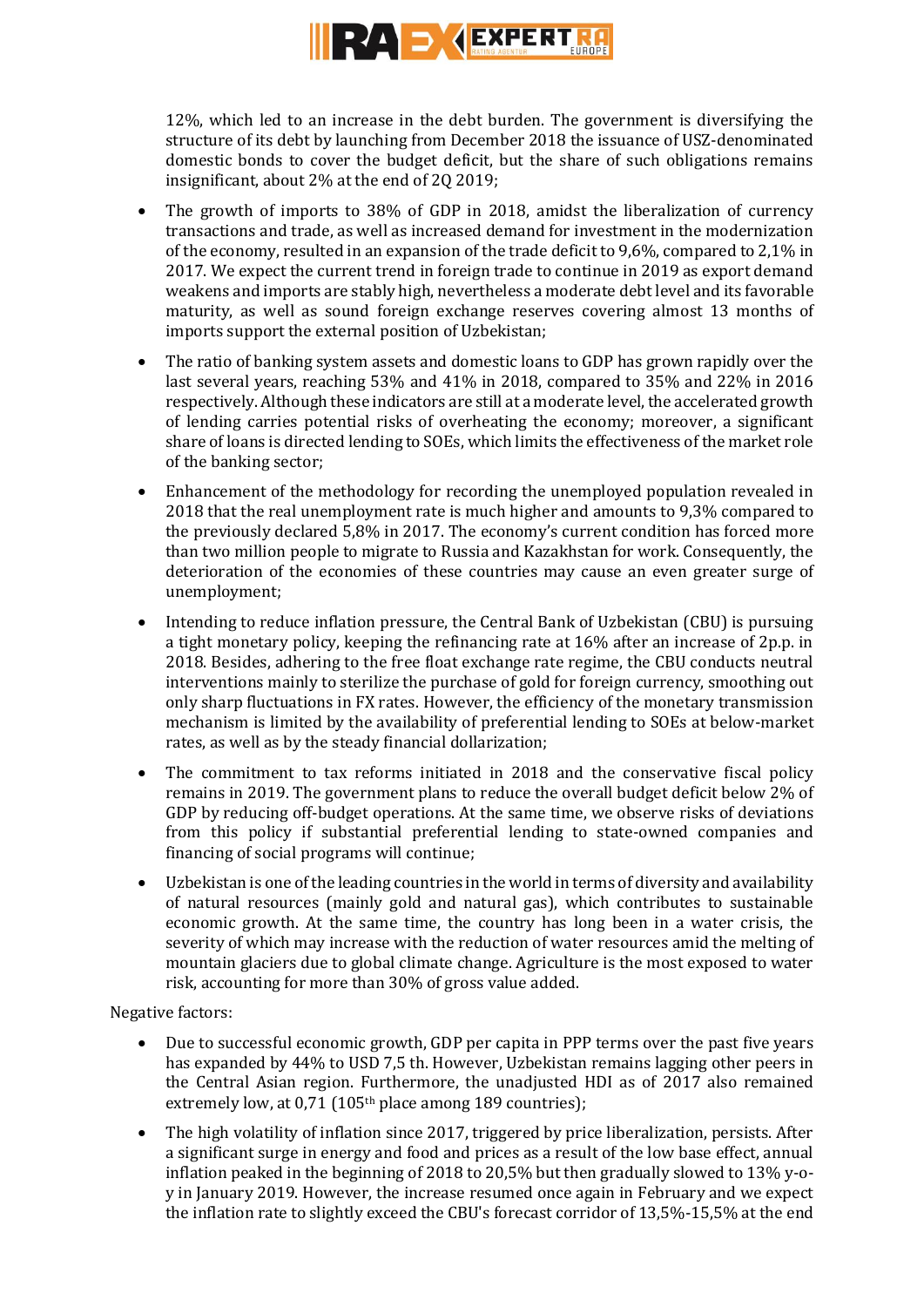

12%, which led to an increase in the debt burden. The government is diversifying the structure of its debt by launching from December 2018 the issuance of USZ-denominated domestic bonds to cover the budget deficit, but the share of such obligations remains insignificant, about 2% at the end of 2Q 2019;

- The growth of imports to 38% of GDP in 2018, amidst the liberalization of currency transactions and trade, as well as increased demand for investment in the modernization of the economy, resulted in an expansion of the trade deficit to 9,6%, compared to 2,1% in 2017. We expect the current trend in foreign trade to continue in 2019 as export demand weakens and imports are stably high, nevertheless a moderate debt level and its favorable maturity, as well as sound foreign exchange reserves covering almost 13 months of imports support the external position of Uzbekistan;
- The ratio of banking system assets and domestic loans to GDP has grown rapidly over the last several years, reaching 53% and 41% in 2018, compared to 35% and 22% in 2016 respectively. Although these indicators are still at a moderate level, the accelerated growth of lending carries potential risks of overheating the economy; moreover, a significant share of loans is directed lending to SOEs, which limits the effectiveness of the market role of the banking sector;
- Enhancement of the methodology for recording the unemployed population revealed in 2018 that the real unemployment rate is much higher and amounts to 9,3% compared to the previously declared 5,8% in 2017. The economy's current condition has forced more than two million people to migrate to Russia and Kazakhstan for work. Consequently, the deterioration of the economies of these countries may cause an even greater surge of unemployment;
- Intending to reduce inflation pressure, the Central Bank of Uzbekistan (CBU) is pursuing a tight monetary policy, keeping the refinancing rate at 16% after an increase of 2p.p. in 2018. Besides, adhering to the free float exchange rate regime, the CBU conducts neutral interventions mainly to sterilize the purchase of gold for foreign currency, smoothing out only sharp fluctuations in FX rates. However, the efficiency of the monetary transmission mechanism is limited by the availability of preferential lending to SOEs at below-market rates, as well as by the steady financial dollarization;
- The commitment to tax reforms initiated in 2018 and the conservative fiscal policy remains in 2019. The government plans to reduce the overall budget deficit below 2% of GDP by reducing off-budget operations. At the same time, we observe risks of deviations from this policy if substantial preferential lending to state-owned companies and financing of social programs will continue;
- Uzbekistan is one of the leading countries in the world in terms of diversity and availability of natural resources (mainly gold and natural gas), which contributes to sustainable economic growth. At the same time, the country has long been in a water crisis, the severity of which may increase with the reduction of water resources amid the melting of mountain glaciers due to global climate change. Agriculture is the most exposed to water risk, accounting for more than 30% of gross value added.

Negative factors:

- Due to successful economic growth, GDP per capita in PPP terms over the past five years has expanded by 44% to USD 7,5 th. However, Uzbekistan remains lagging other peers in the Central Asian region. Furthermore, the unadjusted HDI as of 2017 also remained extremely low, at 0,71 (105<sup>th</sup> place among 189 countries);
- The high volatility of inflation since 2017, triggered by price liberalization, persists. After a significant surge in energy and food and prices as a result of the low base effect, annual inflation peaked in the beginning of 2018 to 20,5% but then gradually slowed to 13% y-oy in January 2019. However, the increase resumed once again in February and we expect the inflation rate to slightly exceed the CBU's forecast corridor of 13,5%-15,5% at the end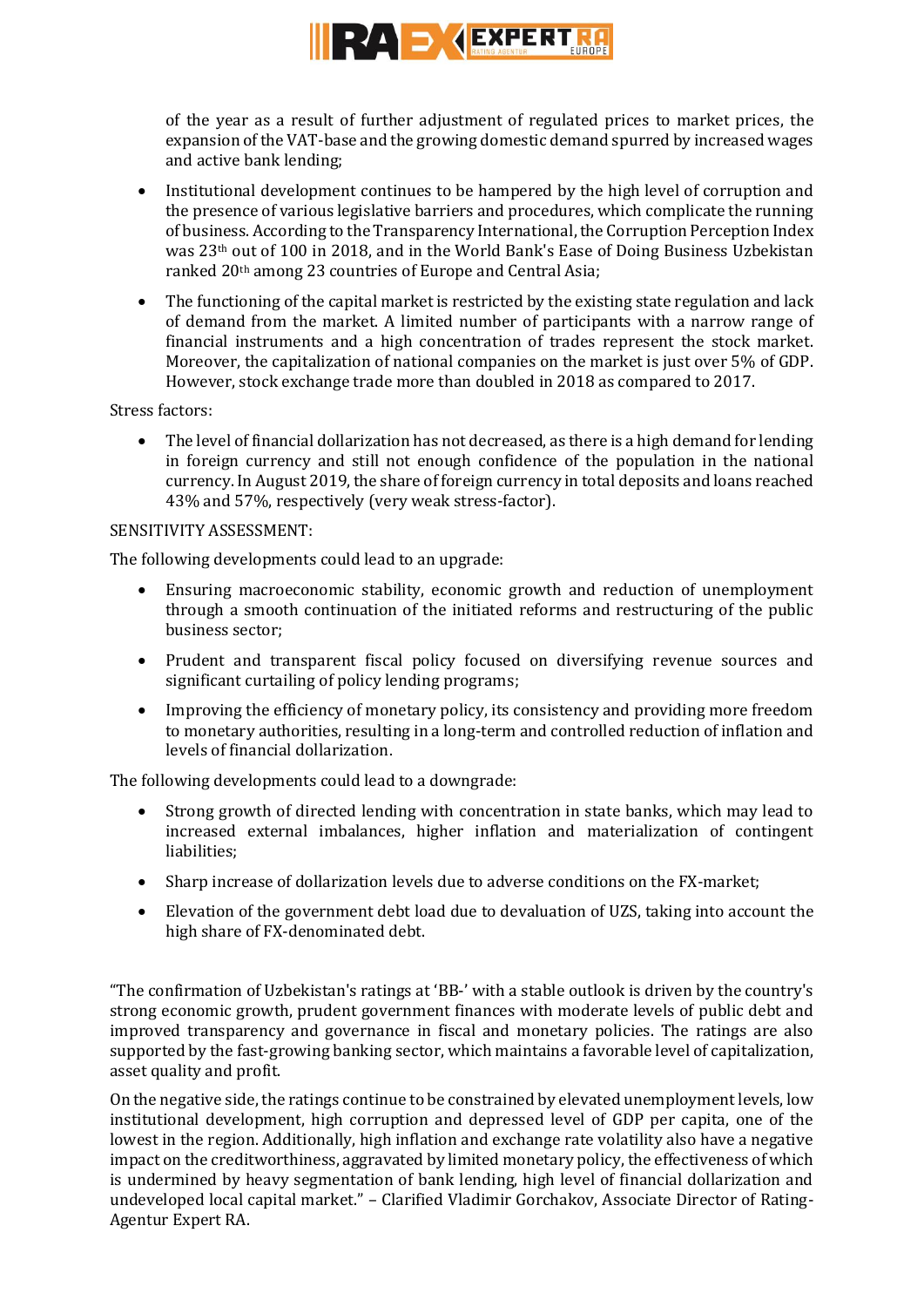

of the year as a result of further adjustment of regulated prices to market prices, the expansion of the VAT-base and the growing domestic demand spurred by increased wages and active bank lending;

- Institutional development continues to be hampered by the high level of corruption and the presence of various legislative barriers and procedures, which complicate the running of business. According to the Transparency International, the Corruption Perception Index was 23th out of 100 in 2018, and in the World Bank's Ease of Doing Business Uzbekistan ranked 20th among 23 countries of Europe and Central Asia;
- The functioning of the capital market is restricted by the existing state regulation and lack of demand from the market. A limited number of participants with a narrow range of financial instruments and a high concentration of trades represent the stock market. Moreover, the capitalization of national companies on the market is just over 5% of GDP. However, stock exchange trade more than doubled in 2018 as compared to 2017.

Stress factors:

 The level of financial dollarization has not decreased, as there is a high demand for lending in foreign currency and still not enough confidence of the population in the national currency. In August 2019, the share of foreign currency in total deposits and loans reached 43% and 57%, respectively (very weak stress-factor).

### SENSITIVITY ASSESSMENT:

The following developments could lead to an upgrade:

- Ensuring macroeconomic stability, economic growth and reduction of unemployment through a smooth continuation of the initiated reforms and restructuring of the public business sector;
- Prudent and transparent fiscal policy focused on diversifying revenue sources and significant curtailing of policy lending programs;
- Improving the efficiency of monetary policy, its consistency and providing more freedom to monetary authorities, resulting in a long-term and controlled reduction of inflation and levels of financial dollarization.

The following developments could lead to a downgrade:

- Strong growth of directed lending with concentration in state banks, which may lead to increased external imbalances, higher inflation and materialization of contingent liabilities;
- Sharp increase of dollarization levels due to adverse conditions on the FX-market;
- Elevation of the government debt load due to devaluation of UZS, taking into account the high share of FX-denominated debt.

"The confirmation of Uzbekistan's ratings at 'BB-' with a stable outlook is driven by the country's strong economic growth, prudent government finances with moderate levels of public debt and improved transparency and governance in fiscal and monetary policies. The ratings are also supported by the fast-growing banking sector, which maintains a favorable level of capitalization, asset quality and profit.

On the negative side, the ratings continue to be constrained by elevated unemployment levels, low institutional development, high corruption and depressed level of GDP per capita, one of the lowest in the region. Additionally, high inflation and exchange rate volatility also have a negative impact on the creditworthiness, aggravated by limited monetary policy, the effectiveness of which is undermined by heavy segmentation of bank lending, high level of financial dollarization and undeveloped local capital market." – Clarified Vladimir Gorchakov, Associate Director of Rating-Agentur Expert RA.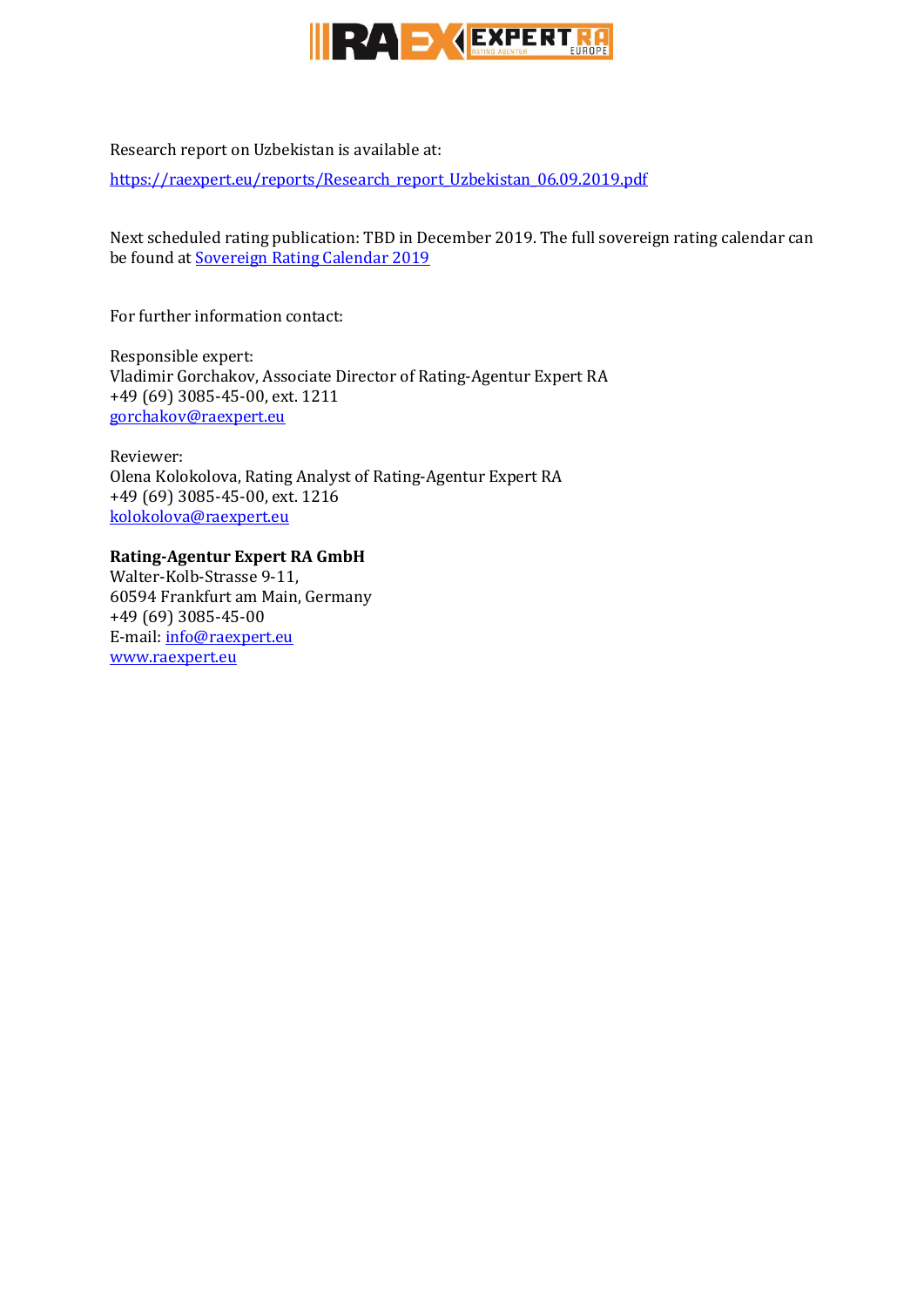

Research report on Uzbekistan is available at:

[https://raexpert.eu/reports/Research\\_report\\_Uzbekistan\\_06.09.2019.pdf](https://raexpert.eu/reports/Research_report_Uzbekistan_06.09.2019.pdf)

Next scheduled rating publication: TBD in December 2019. The full sovereign rating calendar can be found at **Sovereign Rating Calendar 2019** 

For further information contact:

Responsible expert: Vladimir Gorchakov, Associate Director of Rating-Agentur Expert RA +49 (69) 3085-45-00, ext. 1211 [gorchakov@raexpert.eu](mailto:gorchakov@raexpert.eu)

Reviewer: Olena Kolokolova, Rating Analyst of Rating-Agentur Expert RA +49 (69) 3085-45-00, ext. 1216 [kolokolova@raexpert.eu](mailto:kolokolova@raexpert.eu)

## **Rating-Agentur Expert RA GmbH**

Walter-Kolb-Strasse 9-11, 60594 Frankfurt am Main, Germany +49 (69) 3085-45-00 E-mail[: info@raexpert.eu](mailto:info@raexpert.eu) [www.raexpert.eu](http://raexpert.eu/)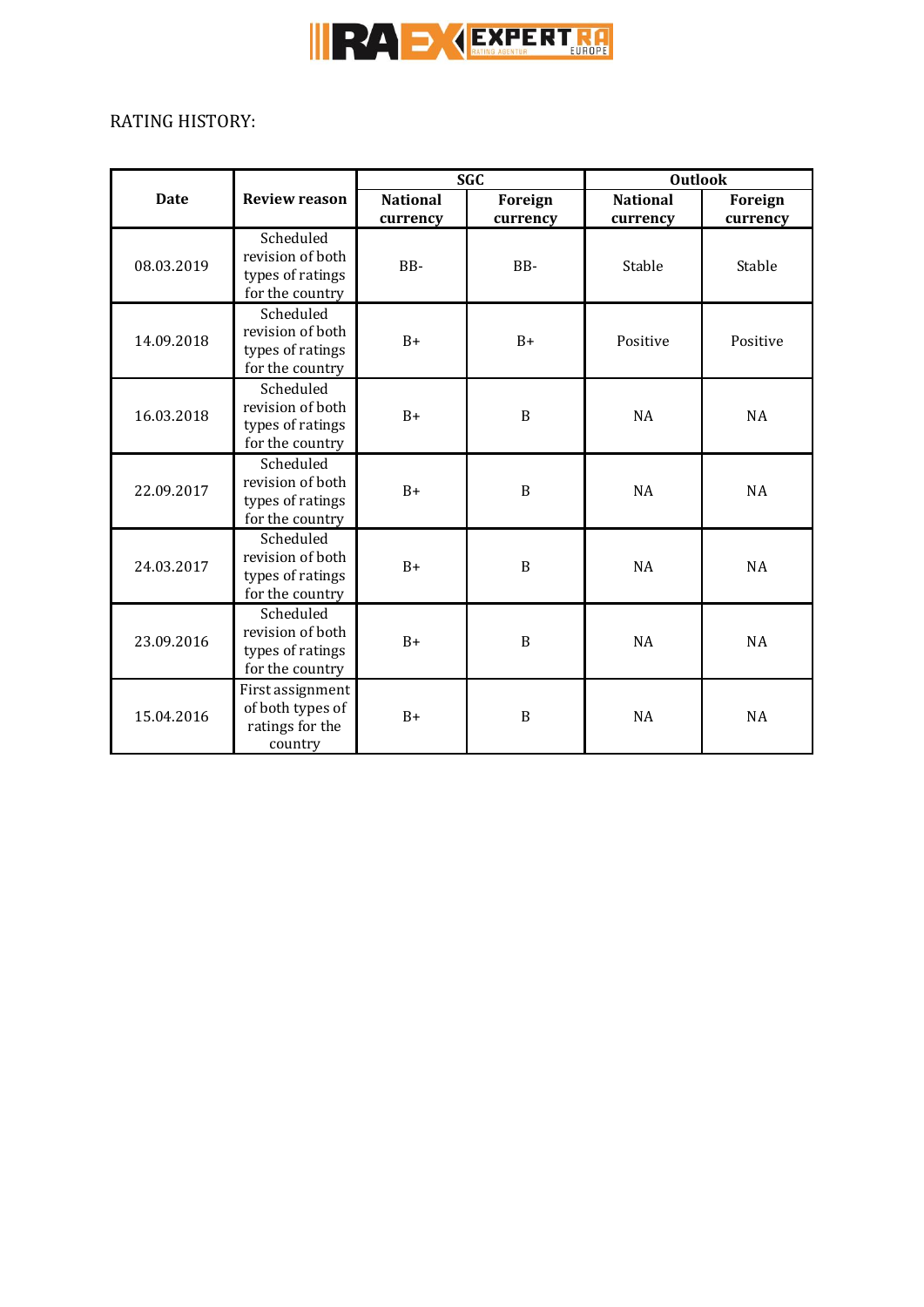

 $\overline{a}$ 

# RATING HISTORY:

|             |                                                                      | <b>SGC</b>                  |                     | <b>Outlook</b>              |                     |
|-------------|----------------------------------------------------------------------|-----------------------------|---------------------|-----------------------------|---------------------|
| <b>Date</b> | <b>Review reason</b>                                                 | <b>National</b><br>currency | Foreign<br>currency | <b>National</b><br>currency | Foreign<br>currency |
| 08.03.2019  | Scheduled<br>revision of both<br>types of ratings<br>for the country | BB-                         | BB-                 | Stable                      | Stable              |
| 14.09.2018  | Scheduled<br>revision of both<br>types of ratings<br>for the country | $B+$                        | $B+$                | Positive                    | Positive            |
| 16.03.2018  | Scheduled<br>revision of both<br>types of ratings<br>for the country | $B+$                        | B                   | <b>NA</b>                   | <b>NA</b>           |
| 22.09.2017  | Scheduled<br>revision of both<br>types of ratings<br>for the country | $B+$                        | $\boldsymbol{B}$    | <b>NA</b>                   | <b>NA</b>           |
| 24.03.2017  | Scheduled<br>revision of both<br>types of ratings<br>for the country | $B+$                        | $\boldsymbol{B}$    | <b>NA</b>                   | <b>NA</b>           |
| 23.09.2016  | Scheduled<br>revision of both<br>types of ratings<br>for the country | $B+$                        | $\boldsymbol{B}$    | <b>NA</b>                   | NA                  |
| 15.04.2016  | First assignment<br>of both types of<br>ratings for the<br>country   | $B+$                        | $\boldsymbol{B}$    | <b>NA</b>                   | NA                  |